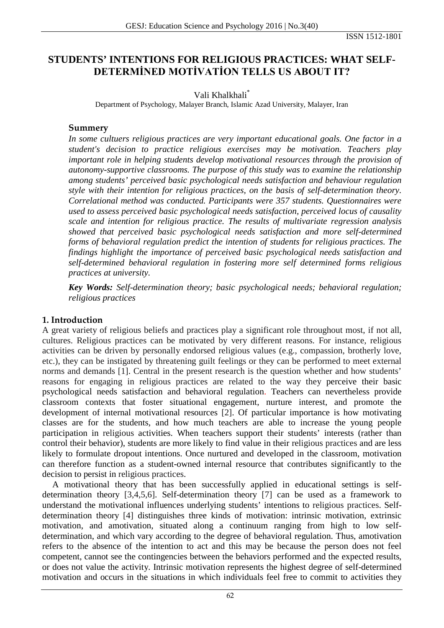ISSN 1512-1801

# **STUDENTS' INTENTIONS FOR RELIGIOUS PRACTICES: WHAT SELF-DETERMİNED MOTİVATİON TELLS US ABOUT IT?**

# Vali Khalkhali\*

Department of Psychology, Malayer Branch, Islamic Azad University, Malayer, Iran

## **Summery**

*In some cultuers religious practices are very important educational goals. One factor in a student's decision to practice religious exercises may be motivation. Teachers play important role in helping students develop motivational resources through the provision of autonomy-supportive classrooms. The purpose of this study was to examine the relationship among students' perceived basic psychological needs satisfaction and behaviour regulation style with their intention for religious practices, on the basis of self-determination theory. Correlational method was conducted. Participants were 357 students. Questionnaires were used to assess perceived basic psychological needs satisfaction, perceived locus of causality scale and intention for religious practice. The results of multivariate regression analysis showed that perceived basic psychological needs satisfaction and more self-determined forms of behavioral regulation predict the intention of students for religious practices. The findings highlight the importance of perceived basic psychological needs satisfaction and self-determined behavioral regulation in fostering more self determined forms religious practices at university.*

*Key Words: Self-determination theory; basic psychological needs; behavioral regulation; religious practices*

# **1. Introduction**

A great variety of religious beliefs and practices play a significant role throughout most, if not all, cultures. Religious practices can be motivated by very different reasons. For instance, religious activities can be driven by personally endorsed religious values (e.g., compassion, brotherly love, etc.), they can be instigated by threatening guilt feelings or they can be performed to meet external norms and demands [1]. Central in the present research is the question whether and how students' reasons for engaging in religious practices are related to the way they perceive their basic psychological needs satisfaction and behavioral regulation. Teachers can nevertheless provide classroom contexts that foster situational engagement, nurture interest, and promote the development of internal motivational resources [2]. Of particular importance is how motivating classes are for the students, and how much teachers are able to increase the young people participation in religious activities. When teachers support their students' interests (rather than control their behavior), students are more likely to find value in their religious practices and are less likely to formulate dropout intentions. Once nurtured and developed in the classroom, motivation can therefore function as a student-owned internal resource that contributes significantly to the decision to persist in religious practices.

A motivational theory that has been successfully applied in educational settings is selfdetermination theory [3,4,5,6]. Self-determination theory [7] can be used as a framework to understand the motivational influences underlying students' intentions to religious practices. Selfdetermination theory [4] distinguishes three kinds of motivation: intrinsic motivation, extrinsic motivation, and amotivation, situated along a continuum ranging from high to low selfdetermination, and which vary according to the degree of behavioral regulation. Thus, amotivation refers to the absence of the intention to act and this may be because the person does not feel competent, cannot see the contingencies between the behaviors performed and the expected results, or does not value the activity. Intrinsic motivation represents the highest degree of self-determined motivation and occurs in the situations in which individuals feel free to commit to activities they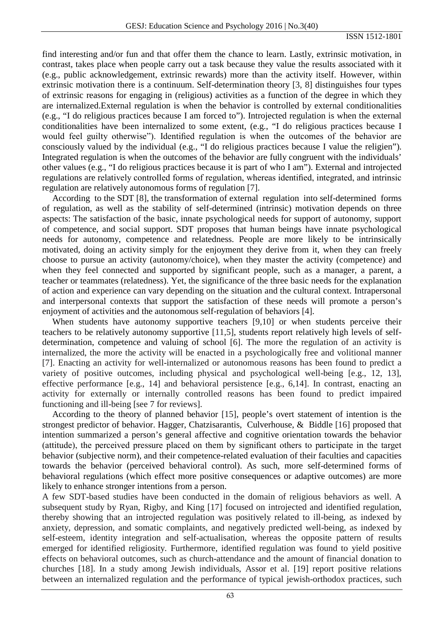find interesting and/or fun and that offer them the chance to learn. Lastly, extrinsic motivation, in contrast, takes place when people carry out a task because they value the results associated with it (e.g., public acknowledgement, extrinsic rewards) more than the activity itself. However, within extrinsic motivation there is a continuum. Self-determination theory [3, 8] distinguishes four types of extrinsic reasons for engaging in (religious) activities as a function of the degree in which they are internalized.External regulation is when the behavior is controlled by external conditionalities (e.g., "I do religious practices because I am forced to"). Introjected regulation is when the external conditionalities have been internalized to some extent, (e.g., "I do religious practices because I would feel guilty otherwise"). Identified regulation is when the outcomes of the behavior are consciously valued by the individual (e.g., "I do religious practices because I value the religien"). Integrated regulation is when the outcomes of the behavior are fully congruent with the individuals' other values (e.g., "I do religious practices because it is part of who I am"). External and introjected regulations are relatively controlled forms of regulation, whereas identified, integrated, and intrinsic regulation are relatively autonomous forms of regulation [7].

According to the SDT [8], the transformation of external regulation into self-determined forms of regulation, as well as the stability of self-determined (intrinsic) motivation depends on three aspects: The satisfaction of the basic, innate psychological needs for support of autonomy, support of competence, and social support. SDT proposes that human beings have innate psychological needs for autonomy, competence and relatedness. People are more likely to be intrinsically motivated, doing an activity simply for the enjoyment they derive from it, when they can freely choose to pursue an activity (autonomy/choice), when they master the activity (competence) and when they feel connected and supported by significant people, such as a manager, a parent, a teacher or teammates (relatedness). Yet, the significance of the three basic needs for the explanation of action and experience can vary depending on the situation and the cultural context. Intrapersonal and interpersonal contexts that support the satisfaction of these needs will promote a person's enjoyment of activities and the autonomous self-regulation of behaviors [4].

When students have autonomy supportive teachers [9,10] or when students perceive their teachers to be relatively autonomy supportive [11,5], students report relatively high levels of selfdetermination, competence and valuing of school [6]. The more the regulation of an activity is internalized, the more the activity will be enacted in a psychologically free and volitional manner [7]. Enacting an activity for well-internalized or autonomous reasons has been found to predict a variety of positive outcomes, including physical and psychological well-being [e.g., 12, 13], effective performance [e.g., 14] and behavioral persistence [e.g., 6,14]. In contrast, enacting an activity for externally or internally controlled reasons has been found to predict impaired functioning and ill-being [see 7 for reviews].

According to the theory of planned behavior [15], people's overt statement of intention is the strongest predictor of behavior. Hagger, Chatzisarantis, Culverhouse, & Biddle [16] proposed that intention summarized a person's general affective and cognitive orientation towards the behavior (attitude), the perceived pressure placed on them by significant others to participate in the target behavior (subjective norm), and their competence-related evaluation of their faculties and capacities towards the behavior (perceived behavioral control). As such, more self-determined forms of behavioral regulations (which effect more positive consequences or adaptive outcomes) are more likely to enhance stronger intentions from a person.

A few SDT-based studies have been conducted in the domain of religious behaviors as well. A subsequent study by Ryan, Rigby, and King [17] focused on introjected and identified regulation, thereby showing that an introjected regulation was positively related to ill-being, as indexed by anxiety, depression, and somatic complaints, and negatively predicted well-being, as indexed by self-esteem, identity integration and self-actualisation, whereas the opposite pattern of results emerged for identified religiosity. Furthermore, identified regulation was found to yield positive effects on behavioral outcomes, such as church-attendance and the amount of financial donation to churches [18]. In a study among Jewish individuals, Assor et al. [19] report positive relations between an internalized regulation and the performance of typical jewish-orthodox practices, such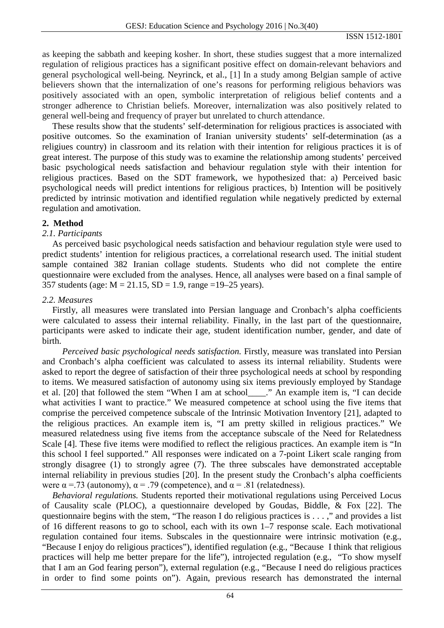as keeping the sabbath and keeping kosher. In short, these studies suggest that a more internalized regulation of religious practices has a significant positive effect on domain-relevant behaviors and general psychological well-being. Neyrinck, et al., [1] In a study among Belgian sample of active believers shown that the internalization of one's reasons for performing religious behaviors was positively associated with an open, symbolic interpretation of religious belief contents and a stronger adherence to Christian beliefs. Moreover, internalization was also positively related to general well-being and frequency of prayer but unrelated to church attendance.

These results show that the students' self-determination for religious practices is associated with positive outcomes. So the examination of Iranian university students' self-determination (as a religiues country) in classroom and its relation with their intention for religious practices it is of great interest. The purpose of this study was to examine the relationship among students' perceived basic psychological needs satisfaction and behaviour regulation style with their intention for religious practices. Based on the SDT framework, we hypothesized that: a) Perceived basic psychological needs will predict intentions for religious practices, b) Intention will be positively predicted by intrinsic motivation and identified regulation while negatively predicted by external regulation and amotivation.

## **2. Method**

## *2.1. Participants*

As perceived basic psychological needs satisfaction and behaviour regulation style were used to predict students' intention for religious practices, a correlational research used. The initial student sample contained 382 Iranian collage students. Students who did not complete the entire questionnaire were excluded from the analyses. Hence, all analyses were based on a final sample of 357 students (age:  $M = 21.15$ ,  $SD = 1.9$ , range =19–25 years).

#### *2.2. Measures*

Firstly, all measures were translated into Persian language and Cronbach's alpha coefficients were calculated to assess their internal reliability. Finally, in the last part of the questionnaire, participants were asked to indicate their age, student identification number, gender, and date of birth.

*Perceived basic psychological needs satisfaction.* Firstly, measure was translated into Persian and Cronbach's alpha coefficient was calculated to assess its internal reliability. Students were asked to report the degree of satisfaction of their three psychological needs at school by responding to items. We measured satisfaction of autonomy using six items previously employed by Standage et al. [20] that followed the stem "When I am at school\_\_\_\_." An example item is, "I can decide what activities I want to practice." We measured competence at school using the five items that comprise the perceived competence subscale of the Intrinsic Motivation Inventory [21], adapted to the religious practices. An example item is, "I am pretty skilled in religious practices." We measured relatedness using five items from the acceptance subscale of the Need for Relatedness Scale [4]. These five items were modified to reflect the religious practices. An example item is "In this school I feel supported." All responses were indicated on a 7-point Likert scale ranging from strongly disagree (1) to strongly agree (7). The three subscales have demonstrated acceptable internal reliability in previous studies [20]. In the present study the Cronbach's alpha coefficients were  $\alpha$  = .73 (autonomy),  $\alpha$  = .79 (competence), and  $\alpha$  = .81 (relatedness).

*Behavioral regulations.* Students reported their motivational regulations using Perceived Locus of Causality scale (PLOC), a questionnaire developed by Goudas, Biddle, & Fox [22]. The questionnaire begins with the stem, "The reason I do religious practices is . . . ," and provides a list of 16 different reasons to go to school, each with its own 1–7 response scale. Each motivational regulation contained four items. Subscales in the questionnaire were intrinsic motivation (e.g., "Because I enjoy do religious practices"), identified regulation (e.g., "Because I think that religious practices will help me better prepare for the life"), introjected regulation (e.g., "To show myself that I am an God fearing person"), external regulation (e.g., "Because I need do religious practices in order to find some points on"). Again, previous research has demonstrated the internal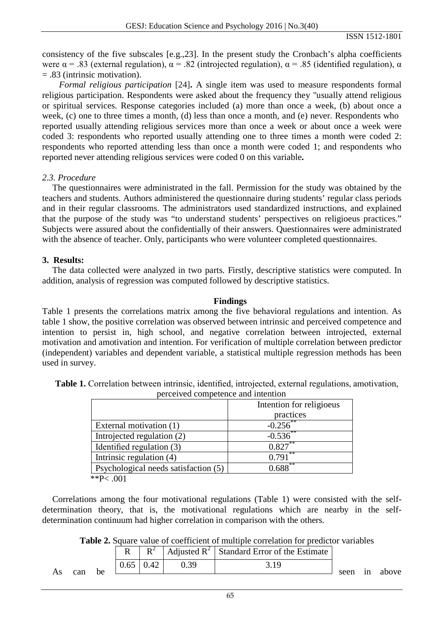ISSN 1512-1801

consistency of the five subscales [e.g.,23]. In the present study the Cronbach's alpha coefficients were  $\alpha$  = .83 (external regulation),  $\alpha$  = .82 (introjected regulation),  $\alpha$  = .85 (identified regulation),  $\alpha$ = .83 (intrinsic motivation).

*Formal religious participation* [24]**.** A single item was used to measure respondents formal religious participation. Respondents were asked about the frequency they "usually attend religious or spiritual services. Response categories included (a) more than once a week, (b) about once a week, (c) one to three times a month, (d) less than once a month, and (e) never. Respondents who reported usually attending religious services more than once a week or about once a week were coded 3: respondents who reported usually attending one to three times a month were coded 2: respondents who reported attending less than once a month were coded 1; and respondents who reported never attending religious services were coded 0 on this variable**.**

#### *2.3. Procedure*

The questionnaires were administrated in the fall. Permission for the study was obtained by the teachers and students. Authors administered the questionnaire during students' regular class periods and in their regular classrooms. The administrators used standardized instructions, and explained that the purpose of the study was "to understand students' perspectives on religioeus practices." Subjects were assured about the confidentially of their answers. Questionnaires were administrated with the absence of teacher. Only, participants who were volunteer completed questionnaires.

#### **3. Results:**

The data collected were analyzed in two parts. Firstly, descriptive statistics were computed. In addition, analysis of regression was computed followed by descriptive statistics.

#### **Findings**

Table 1 presents the correlations matrix among the five behavioral regulations and intention. As table 1 show, the positive correlation was observed between intrinsic and perceived competence and intention to persist in, high school, and negative correlation between introjected, external motivation and amotivation and intention. For verification of multiple correlation between predictor (independent) variables and dependent variable, a statistical multiple regression methods has been used in survey.

| perceived competence and intention   |                          |  |  |  |
|--------------------------------------|--------------------------|--|--|--|
|                                      | Intention for religioeus |  |  |  |
|                                      | practices                |  |  |  |
| External motivation (1)              | $-0.256$                 |  |  |  |
| Introjected regulation (2)           | $-0.536$                 |  |  |  |
| Identified regulation (3)            | $0.827***$               |  |  |  |
| Intrinsic regulation (4)             | **<br>0.791              |  |  |  |
| Psychological needs satisfaction (5) | 0.688                    |  |  |  |
| **P $\sim$ 001                       |                          |  |  |  |

**Table 1.** Correlation between intrinsic, identified, introjected, external regulations, amotivation, perceived competence and intention

:P< .001

Correlations among the four motivational regulations (Table 1) were consisted with the selfdetermination theory, that is, the motivational regulations which are nearby in the selfdetermination continuum had higher correlation in comparison with the others.

**Table 2.** Square value of coefficient of multiple correlation for predictor variables

| $0.65 \mid 0.42$<br>0.39<br>3.19 |            |       |
|----------------------------------|------------|-------|
| can<br>As<br>he.                 | in<br>seen | above |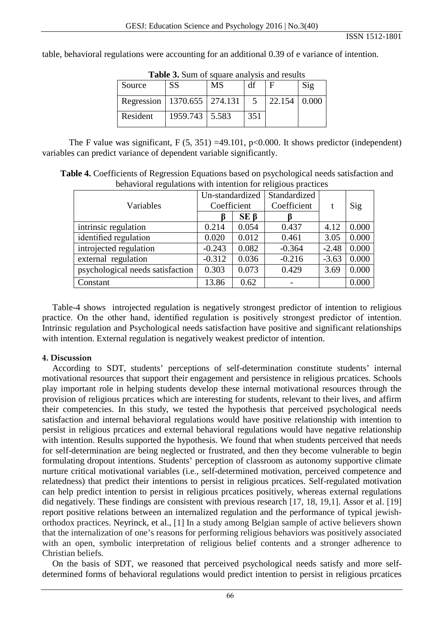table, behavioral regulations were accounting for an additional 0.39 of e variance of intention.

| <b>Table 3.</b> Sum of square analysis and results |                  |           |     |                     |     |  |  |
|----------------------------------------------------|------------------|-----------|-----|---------------------|-----|--|--|
| Source                                             | <b>SS</b>        | <b>MS</b> | df  | F                   | Sig |  |  |
| Regression   1370.655   274.131                    |                  |           | -5  | $22.154 \mid 0.000$ |     |  |  |
| Resident                                           | 1959.743   5.583 |           | 351 |                     |     |  |  |

**Table 3.** Sum of square analysis and results

The F value was significant,  $F(5, 351) = 49.101$ ,  $p < 0.000$ . It shows predictor (independent) variables can predict variance of dependent variable significantly.

**Table 4.** Coefficients of Regression Equations based on psychological needs satisfaction and behavioral regulations with intention for religious practices

|                                  | Un-standardized |            | Standardized |         |       |
|----------------------------------|-----------------|------------|--------------|---------|-------|
| Variables                        | Coefficient     |            | Coefficient  | t       | Sig   |
|                                  | ĸ               | $SE \beta$ |              |         |       |
| intrinsic regulation             | 0.214           | 0.054      | 0.437        | 4.12    | 0.000 |
| identified regulation            | 0.020           | 0.012      | 0.461        | 3.05    | 0.000 |
| introjected regulation           | $-0.243$        | 0.082      | $-0.364$     | $-2.48$ | 0.000 |
| external regulation              | $-0.312$        | 0.036      | $-0.216$     | $-3.63$ | 0.000 |
| psychological needs satisfaction | 0.303           | 0.073      | 0.429        | 3.69    | 0.000 |
| Constant                         | 13.86           | 0.62       |              |         | 0.000 |

Table-4 shows introjected regulation is negatively strongest predictor of intention to religious practice. On the other hand, identified regulation is positively strongest predictor of intention. Intrinsic regulation and Psychological needs satisfaction have positive and significant relationships with intention. External regulation is negatively weakest predictor of intention.

#### **4. Discussion**

According to SDT, students' perceptions of self-determination constitute students' internal motivational resources that support their engagement and persistence in religious prcatices. Schools play important role in helping students develop these internal motivational resources through the provision of religious prcatices which are interesting for students, relevant to their lives, and affirm their competencies. In this study, we tested the hypothesis that perceived psychological needs satisfaction and internal behavioral regulations would have positive relationship with intention to persist in religious prcatices and external behavioral regulations would have negative relationship with intention. Results supported the hypothesis. We found that when students perceived that needs for self-determination are being neglected or frustrated, and then they become vulnerable to begin formulating dropout intentions. Students' perception of classroom as autonomy supportive climate nurture critical motivational variables (i.e., self-determined motivation, perceived competence and relatedness) that predict their intentions to persist in religious prcatices. Self-regulated motivation can help predict intention to persist in religious prcatices positively, whereas external regulations did negatively. These findings are consistent with previous research [17, 18, 19,1]. Assor et al. [19] report positive relations between an internalized regulation and the performance of typical jewishorthodox practices. Neyrinck, et al., [1] In a study among Belgian sample of active believers shown that the internalization of one's reasons for performing religious behaviors was positively associated with an open, symbolic interpretation of religious belief contents and a stronger adherence to Christian beliefs.

On the basis of SDT, we reasoned that perceived psychological needs satisfy and more selfdetermined forms of behavioral regulations would predict intention to persist in religious prcatices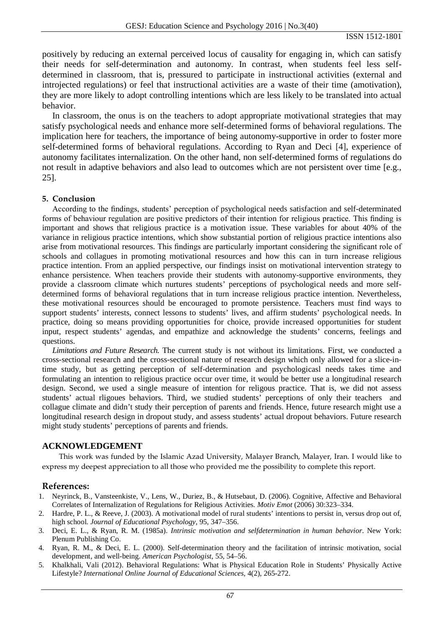positively by reducing an external perceived locus of causality for engaging in, which can satisfy their needs for self-determination and autonomy. In contrast, when students feel less selfdetermined in classroom, that is, pressured to participate in instructional activities (external and introjected regulations) or feel that instructional activities are a waste of their time (amotivation), they are more likely to adopt controlling intentions which are less likely to be translated into actual behavior.

In classroom, the onus is on the teachers to adopt appropriate motivational strategies that may satisfy psychological needs and enhance more self-determined forms of behavioral regulations. The implication here for teachers, the importance of being autonomy-supportive in order to foster more self-determined forms of behavioral regulations. According to Ryan and Deci [4], experience of autonomy facilitates internalization. On the other hand, non self-determined forms of regulations do not result in adaptive behaviors and also lead to outcomes which are not persistent over time [e.g., 25].

#### **5. Conclusion**

According to the findings, students' perception of psychological needs satisfaction and self-determinated forms of behaviour regulation are positive predictors of their intention for religious practice. This finding is important and shows that religious practice is a motivation issue. These variables for about 40% of the variance in religious practice intentions, which show substantial portion of religious practice intentions also arise from motivational resources. This findings are particularly important considering the significant role of schools and collagues in promoting motivational resources and how this can in turn increase religious practice intention. From an applied perspective, our findings insist on motivational intervention strategy to enhance persistence. When teachers provide their students with autonomy-supportive environments, they provide a classroom climate which nurtures students' perceptions of psychological needs and more selfdetermined forms of behavioral regulations that in turn increase religious practice intention. Nevertheless, these motivational resources should be encouraged to promote persistence. Teachers must find ways to support students' interests, connect lessons to students' lives, and affirm students' psychological needs. In practice, doing so means providing opportunities for choice, provide increased opportunities for student input, respect students' agendas, and empathize and acknowledge the students' concerns, feelings and questions.

*Limitations and Future Research.* The current study is not without its limitations. First, we conducted a cross-sectional research and the cross-sectional nature of research design which only allowed for a slice-intime study, but as getting perception of self-determination and psychologicasl needs takes time and formulating an intention to religious practice occur over time, it would be better use a longitudinal research design. Second, we used a single measure of intention for religous practice. That is, we did not assess students' actual rligoues behaviors. Third, we studied students' perceptions of only their teachers and collague climate and didn't study their perception of parents and friends. Hence, future research might use a longitudinal research design in dropout study, and assess students' actual dropout behaviors. Future research might study students' perceptions of parents and friends.

#### **ACKNOWLEDGEMENT**

This work was funded by the Islamic Azad University, Malayer Branch, Malayer, Iran. I would like to express my deepest appreciation to all those who provided me the possibility to complete this report.

#### **References:**

- 1. Neyrinck, B., Vansteenkiste, V., Lens, W., Duriez, B., & Hutsebaut, D. (2006). Cognitive, Affective and Behavioral Correlates of Internalization of Regulations for Religious Activities. *Motiv Emot* (2006) 30:323–334.
- 2. Hardre, P. L., & Reeve, J. (2003). A motivational model of rural students' intentions to persist in, versus drop out of, high school. *Journal of Educational Psychology*, 95, 347–356.
- 3. Deci, E. L., & Ryan, R. M. (1985a). *Intrinsic motivation and selfdetermination in human behavior*. New York: Plenum Publishing Co.
- 4. Ryan, R. M., & Deci, E. L. (2000). Self-determination theory and the facilitation of intrinsic motivation, social development, and well-being. *American Psychologist*, 55, 54–56.
- 5. Khalkhali, Vali (2012). Behavioral Regulations: What is Physical Education Role in Students' Physically Active Lifestyle? *International Online Journal of Educational Sciences*, 4(2), 265-272.